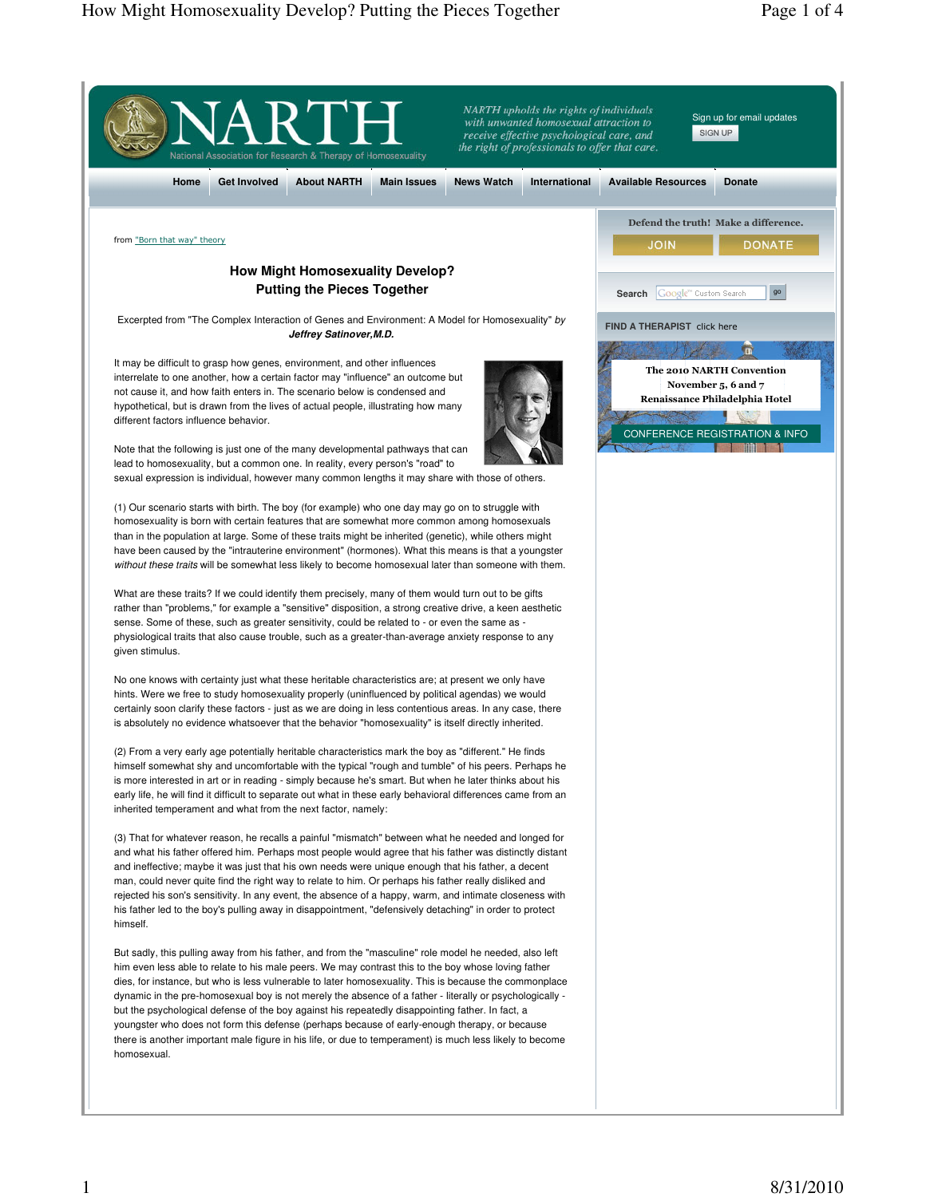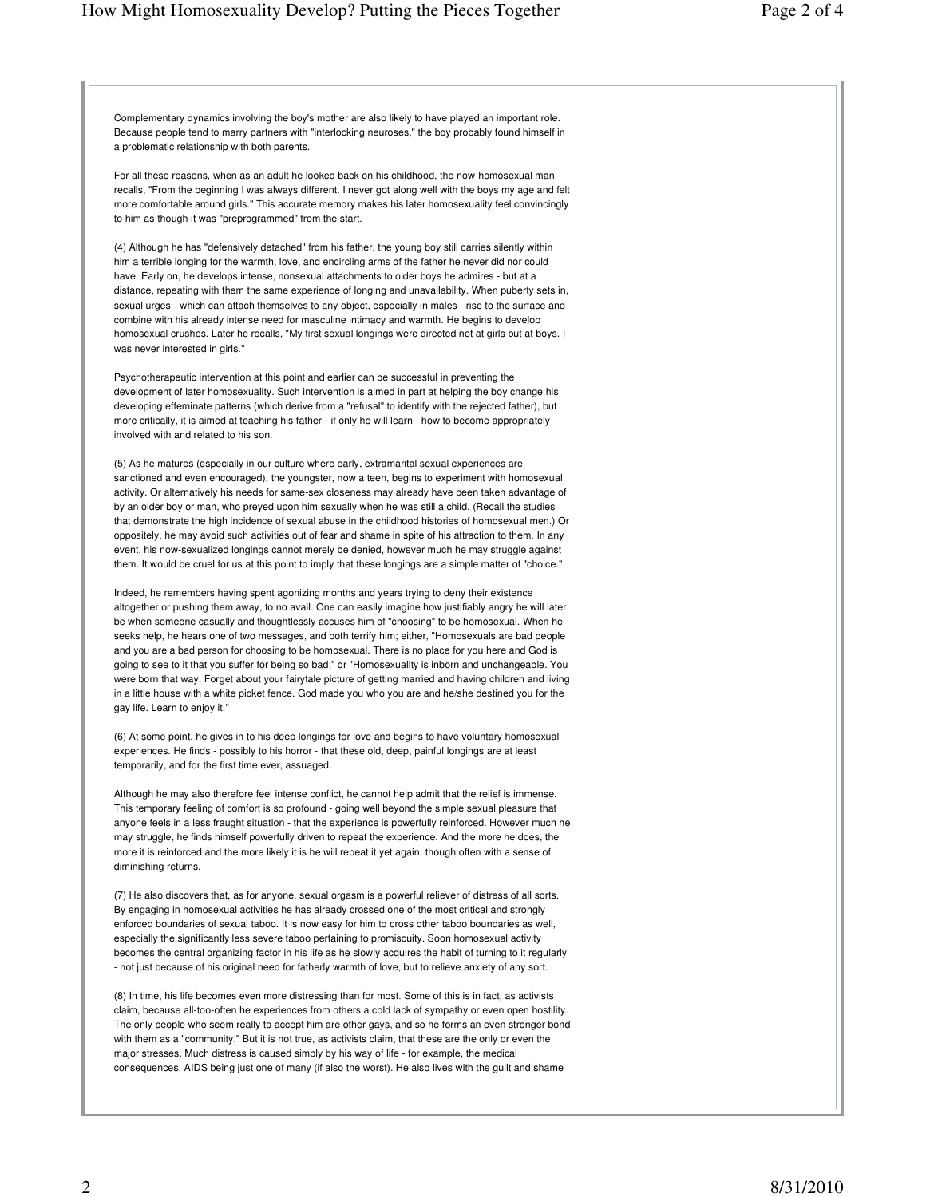Complementary dynamics involving the boy's mother are also likely to have played an important role. Because people tend to marry partners with "interlocking neuroses," the boy probably found himself in a problematic relationship with both parents.

For all these reasons, when as an adult he looked back on his childhood, the now-homosexual man recalls, "From the beginning I was always different. I never got along well with the boys my age and felt more comfortable around girls." This accurate memory makes his later homosexuality feel convincingly to him as though it was "preprogrammed" from the start.

(4) Although he has "defensively detached" from his father, the young boy still carries silently within him a terrible longing for the warmth, love, and encircling arms of the father he never did nor could have. Early on, he develops intense, nonsexual attachments to older boys he admires - but at a distance, repeating with them the same experience of longing and unavailability. When puberty sets in, sexual urges - which can attach themselves to any object, especially in males - rise to the surface and combine with his already intense need for masculine intimacy and warmth. He begins to develop homosexual crushes. Later he recalls, "My first sexual longings were directed not at girls but at boys. I was never interested in girls."

Psychotherapeutic intervention at this point and earlier can be successful in preventing the development of later homosexuality. Such intervention is aimed in part at helping the boy change his developing effeminate patterns (which derive from a "refusal" to identify with the rejected father), but more critically, it is aimed at teaching his father - if only he will learn - how to become appropriately involved with and related to his son.

(5) As he matures (especially in our culture where early, extramarital sexual experiences are sanctioned and even encouraged), the youngster, now a teen, begins to experiment with homosexual activity. Or alternatively his needs for same-sex closeness may already have been taken advantage of by an older boy or man, who preyed upon him sexually when he was still a child. (Recall the studies that demonstrate the high incidence of sexual abuse in the childhood histories of homosexual men.) Or oppositely, he may avoid such activities out of fear and shame in spite of his attraction to them. In any event, his now-sexualized longings cannot merely be denied, however much he may struggle against them. It would be cruel for us at this point to imply that these longings are a simple matter of "choice."

Indeed, he remembers having spent agonizing months and years trying to deny their existence altogether or pushing them away, to no avail. One can easily imagine how justifiably angry he will later be when someone casually and thoughtlessly accuses him of "choosing" to be homosexual. When he seeks help, he hears one of two messages, and both terrify him; either, "Homosexuals are bad people and you are a bad person for choosing to be homosexual. There is no place for you here and God is going to see to it that you suffer for being so bad;" or "Homosexuality is inborn and unchangeable. You were born that way. Forget about your fairytale picture of getting married and having children and living in a little house with a white picket fence. God made you who you are and he/she destined you for the gay life. Learn to enjoy it."

(6) At some point, he gives in to his deep longings for love and begins to have voluntary homosexual experiences. He finds - possibly to his horror - that these old, deep, painful longings are at least temporarily, and for the first time ever, assuaged.

Although he may also therefore feel intense conflict, he cannot help admit that the relief is immense. This temporary feeling of comfort is so profound - going well beyond the simple sexual pleasure that anyone feels in a less fraught situation - that the experience is powerfully reinforced. However much he may struggle, he finds himself powerfully driven to repeat the experience. And the more he does, the more it is reinforced and the more likely it is he will repeat it yet again, though often with a sense of diminishing returns.

(7) He also discovers that, as for anyone, sexual orgasm is a powerful reliever of distress of all sorts. By engaging in homosexual activities he has already crossed one of the most critical and strongly enforced boundaries of sexual taboo. It is now easy for him to cross other taboo boundaries as well, especially the significantly less severe taboo pertaining to promiscuity. Soon homosexual activity becomes the central organizing factor in his life as he slowly acquires the habit of turning to it regularly - not just because of his original need for fatherly warmth of love, but to relieve anxiety of any sort.

(8) In time, his life becomes even more distressing than for most. Some of this is in fact, as activists claim, because all-too-often he experiences from others a cold lack of sympathy or even open hostility. The only people who seem really to accept him are other gays, and so he forms an even stronger bond with them as a "community." But it is not true, as activists claim, that these are the only or even the major stresses. Much distress is caused simply by his way of life - for example, the medical consequences, AIDS being just one of many (if also the worst). He also lives with the guilt and shame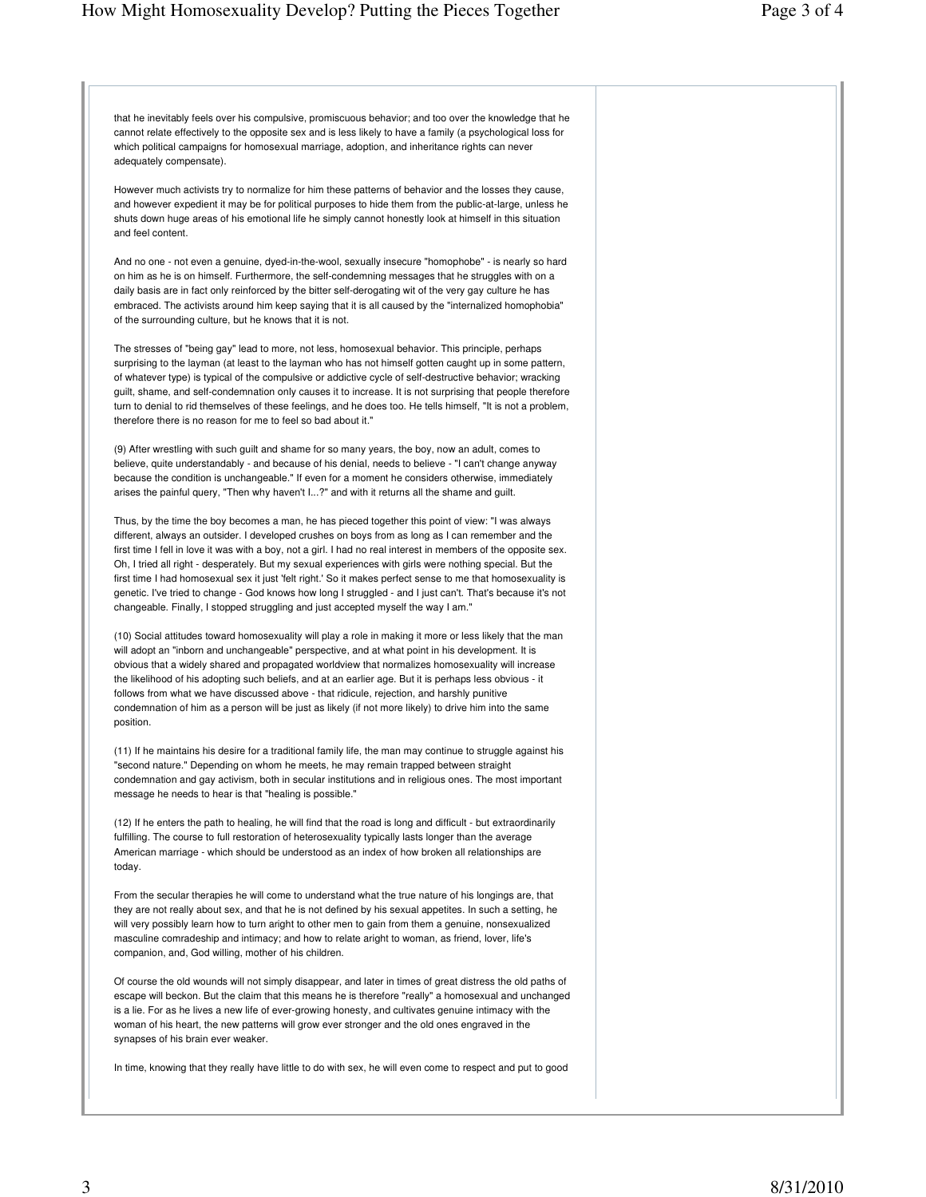that he inevitably feels over his compulsive, promiscuous behavior; and too over the knowledge that he cannot relate effectively to the opposite sex and is less likely to have a family (a psychological loss for which political campaigns for homosexual marriage, adoption, and inheritance rights can never adequately compensate).

However much activists try to normalize for him these patterns of behavior and the losses they cause, and however expedient it may be for political purposes to hide them from the public-at-large, unless he shuts down huge areas of his emotional life he simply cannot honestly look at himself in this situation and feel content.

And no one - not even a genuine, dyed-in-the-wool, sexually insecure "homophobe" - is nearly so hard on him as he is on himself. Furthermore, the self-condemning messages that he struggles with on a daily basis are in fact only reinforced by the bitter self-derogating wit of the very gay culture he has embraced. The activists around him keep saying that it is all caused by the "internalized homophobia" of the surrounding culture, but he knows that it is not.

The stresses of "being gay" lead to more, not less, homosexual behavior. This principle, perhaps surprising to the layman (at least to the layman who has not himself gotten caught up in some pattern, of whatever type) is typical of the compulsive or addictive cycle of self-destructive behavior; wracking guilt, shame, and self-condemnation only causes it to increase. It is not surprising that people therefore turn to denial to rid themselves of these feelings, and he does too. He tells himself, "It is not a problem, therefore there is no reason for me to feel so bad about it."

(9) After wrestling with such guilt and shame for so many years, the boy, now an adult, comes to believe, quite understandably - and because of his denial, needs to believe - "I can't change anyway because the condition is unchangeable." If even for a moment he considers otherwise, immediately arises the painful query, "Then why haven't I...?" and with it returns all the shame and guilt.

Thus, by the time the boy becomes a man, he has pieced together this point of view: "I was always different, always an outsider. I developed crushes on boys from as long as I can remember and the first time I fell in love it was with a boy, not a girl. I had no real interest in members of the opposite sex. Oh, I tried all right - desperately. But my sexual experiences with girls were nothing special. But the first time I had homosexual sex it just 'felt right.' So it makes perfect sense to me that homosexuality is genetic. I've tried to change - God knows how long I struggled - and I just can't. That's because it's not changeable. Finally, I stopped struggling and just accepted myself the way I am."

(10) Social attitudes toward homosexuality will play a role in making it more or less likely that the man will adopt an "inborn and unchangeable" perspective, and at what point in his development. It is obvious that a widely shared and propagated worldview that normalizes homosexuality will increase the likelihood of his adopting such beliefs, and at an earlier age. But it is perhaps less obvious - it follows from what we have discussed above - that ridicule, rejection, and harshly punitive condemnation of him as a person will be just as likely (if not more likely) to drive him into the same position.

(11) If he maintains his desire for a traditional family life, the man may continue to struggle against his "second nature." Depending on whom he meets, he may remain trapped between straight condemnation and gay activism, both in secular institutions and in religious ones. The most important message he needs to hear is that "healing is possible."

(12) If he enters the path to healing, he will find that the road is long and difficult - but extraordinarily fulfilling. The course to full restoration of heterosexuality typically lasts longer than the average American marriage - which should be understood as an index of how broken all relationships are today.

From the secular therapies he will come to understand what the true nature of his longings are, that they are not really about sex, and that he is not defined by his sexual appetites. In such a setting, he will very possibly learn how to turn aright to other men to gain from them a genuine, nonsexualized masculine comradeship and intimacy; and how to relate aright to woman, as friend, lover, life's companion, and, God willing, mother of his children.

Of course the old wounds will not simply disappear, and later in times of great distress the old paths of escape will beckon. But the claim that this means he is therefore "really" a homosexual and unchanged is a lie. For as he lives a new life of ever-growing honesty, and cultivates genuine intimacy with the woman of his heart, the new patterns will grow ever stronger and the old ones engraved in the synapses of his brain ever weaker.

In time, knowing that they really have little to do with sex, he will even come to respect and put to good